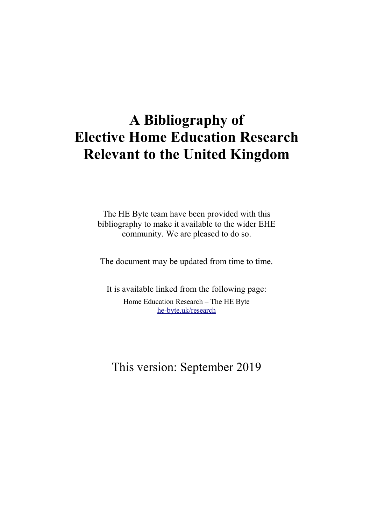## **A Bibliography of Elective Home Education Research Relevant to the United Kingdom**

The HE Byte team have been provided with this bibliography to make it available to the wider EHE community. We are pleased to do so.

The document may be updated from time to time.

It is available linked from the following page: Home Education Research – The HE Byte [he-byte.uk/research](https://he-byte.uk/research)

This version: September 2019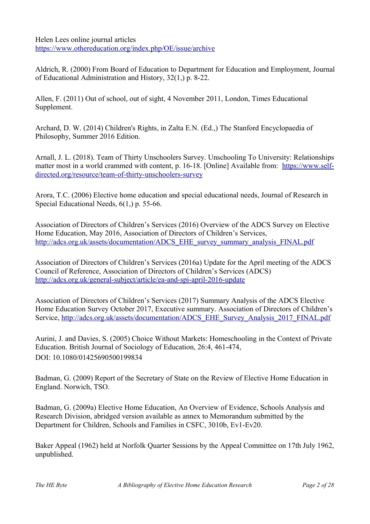Helen Lees online journal articles <https://www.othereducation.org/index.php/OE/issue/archive>

Aldrich, R. (2000) From Board of Education to Department for Education and Employment, Journal of Educational Administration and History, 32(1,) p. 8-22.

Allen, F. (2011) Out of school, out of sight, 4 November 2011, London, Times Educational Supplement.

Archard, D. W. (2014) Children's Rights, in Zalta E.N. (Ed.,) The Stanford Encyclopaedia of Philosophy, Summer 2016 Edition.

Arnall, J. L. (2018). Team of Thirty Unschoolers Survey. Unschooling To University: Relationships matter most in a world crammed with content, p. 16-18. [Online] Available from: [https://www.self](https://www.self-directed.org/resource/team-of-thirty-unschoolers-survey)[directed.org/resource/team-of-thirty-unschoolers-survey](https://www.self-directed.org/resource/team-of-thirty-unschoolers-survey)

Arora, T.C. (2006) Elective home education and special educational needs, Journal of Research in Special Educational Needs, 6(1,) p. 55-66.

Association of Directors of Children's Services (2016) Overview of the ADCS Survey on Elective Home Education, May 2016, Association of Directors of Children's Services, [http://adcs.org.uk/assets/documentation/ADCS\\_EHE\\_survey\\_summary\\_analysis\\_FINAL.pdf](http://adcs.org.uk/assets/documentation/ADCS_EHE_survey_summary_analysis_FINAL.pdf)

Association of Directors of Children's Services (2016a) Update for the April meeting of the ADCS Council of Reference, Association of Directors of Children's Services (ADCS) <http://adcs.org.uk/general-subject/article/ea-and-spi-april-2016-update>

Association of Directors of Children's Services (2017) Summary Analysis of the ADCS Elective Home Education Survey October 2017, Executive summary. Association of Directors of Children's Service, [http://adcs.org.uk/assets/documentation/ADCS\\_EHE\\_Survey\\_Analysis\\_2017\\_FINAL.pdf](http://adcs.org.uk/assets/documentation/ADCS_EHE_Survey_Analysis_2017_FINAL.pdf)

Aurini, J. and Davies, S. (2005) Choice Without Markets: Homeschooling in the Context of Private Education. British Journal of Sociology of Education, 26:4, 461-474, DOI: 10.1080/01425690500199834

Badman, G. (2009) Report of the Secretary of State on the Review of Elective Home Education in England. Norwich, TSO.

Badman, G. (2009a) Elective Home Education, An Overview of Evidence, Schools Analysis and Research Division, abridged version available as annex to Memorandum submitted by the Department for Children, Schools and Families in CSFC, 3010b, Ev1-Ev20.

Baker Appeal (1962) held at Norfolk Quarter Sessions by the Appeal Committee on 17th July 1962, unpublished.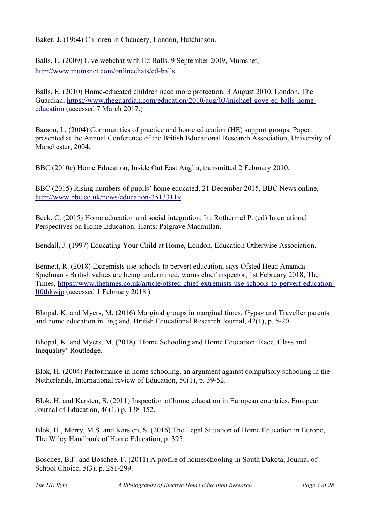Baker, J. (1964) Children in Chancery, London, Hutchinson.

Balls, E. (2009) Live webchat with Ed Balls. 9 September 2009, Mumsnet, <http://www.mumsnet.com/onlinechats/ed-balls>

Balls, E. (2010) Home-educated children need more protection, 3 August 2010, London, The Guardian, [https://www.theguardian.com/education/2010/aug/03/michael-gove-ed-balls-home](https://www.theguardian.com/education/2010/aug/03/michael-gove-ed-balls-home-education)[education](https://www.theguardian.com/education/2010/aug/03/michael-gove-ed-balls-home-education) (accessed 7 March 2017.)

Barson, L. (2004) Communities of practice and home education (HE) support groups, Paper presented at the Annual Conference of the British Educational Research Association, University of Manchester, 2004.

BBC (2010c) Home Education, Inside Out East Anglia, transmitted 2 February 2010.

BBC (2015) Rising numbers of pupils' home educated, 21 December 2015, BBC News online, <http://www.bbc.co.uk/news/education-35133119>

Beck, C. (2015) Home education and social integration. In: Rothermel P. (ed) International Perspectives on Home Education. Hants: Palgrave Macmillan.

Bendall, J. (1997) Educating Your Child at Home, London, Education Otherwise Association.

Bennett, R. (2018) Extremists use schools to pervert education, says Ofsted Head Amanda Spielman - British values are being undermined, warns chief inspector, 1st February 2018, The Times, [https://www.thetimes.co.uk/article/ofsted-chief-extremists-use-schools-to-pervert-education](https://www.thetimes.co.uk/article/ofsted-chief-extremists-use-schools-to-pervert-education-lf0thkwjp)[lf0thkwjp](https://www.thetimes.co.uk/article/ofsted-chief-extremists-use-schools-to-pervert-education-lf0thkwjp) (accessed 1 February 2018.)

Bhopal, K. and Myers, M. (2016) Marginal groups in marginal times, Gypsy and Traveller parents and home education in England, British Educational Research Journal, 42(1), p. 5-20.

Bhopal, K. and Myers, M. (2018) 'Home Schooling and Home Education: Race, Class and Inequality' Routledge.

Blok, H. (2004) Performance in home schooling, an argument against compulsory schooling in the Netherlands, International review of Education, 50(1), p. 39-52.

Blok, H. and Karsten, S. (2011) Inspection of home education in European countries. European Journal of Education, 46(1,) p. 138-152.

Blok, H., Merry, M.S. and Karsten, S. (2016) The Legal Situation of Home Education in Europe, The Wiley Handbook of Home Education, p. 395.

Boschee, B.F. and Boschee, F. (2011) A profile of homeschooling in South Dakota, Journal of School Choice, 5(3), p. 281-299.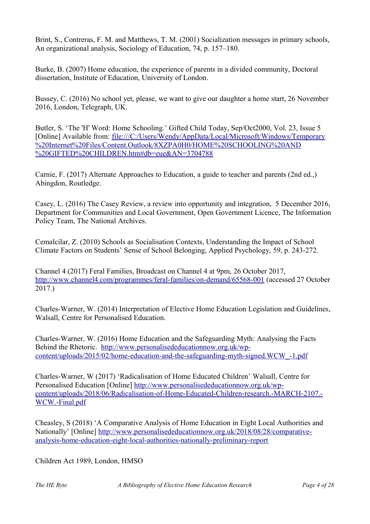Brint, S., Contreras, F. M. and Matthews, T. M. (2001) Socialization messages in primary schools, An organizational analysis, Sociology of Education, 74, p. 157–180.

Burke, B. (2007) Home education, the experience of parents in a divided community, Doctoral dissertation, Institute of Education, University of London.

Bussey, C. (2016) No school yet, please, we want to give our daughter a home start, 26 November 2016, London, Telegraph, UK.

Butler, S. 'The 'H' Word: Home Schooling.' Gifted Child Today, Sep/Oct2000, Vol. 23, Issue 5 [Online] Available from: [file:///C:/Users/Wendy/AppData/Local/Microsoft/Windows/Temporary](file:///C:/Users/Wendy/AppData/Local/Microsoft/Windows/Temporary%20Internet%20Files/Content.Outlook/8XZPA0H0/HOME%20SCHOOLING%20AND%20GIFTED%20CHILDREN.htm#db=eue&AN=3704788) [%20Internet%20Files/Content.Outlook/8XZPA0H0/HOME%20SCHOOLING%20AND](file:///C:/Users/Wendy/AppData/Local/Microsoft/Windows/Temporary%20Internet%20Files/Content.Outlook/8XZPA0H0/HOME%20SCHOOLING%20AND%20GIFTED%20CHILDREN.htm#db=eue&AN=3704788) [%20GIFTED%20CHILDREN.htm#db=eue&AN=3704788](file:///C:/Users/Wendy/AppData/Local/Microsoft/Windows/Temporary%20Internet%20Files/Content.Outlook/8XZPA0H0/HOME%20SCHOOLING%20AND%20GIFTED%20CHILDREN.htm#db=eue&AN=3704788)

Carnie, F. (2017) Alternate Approaches to Education, a guide to teacher and parents (2nd ed.,) Abingdon, Routledge.

Casey, L. (2016) The Casey Review, a review into opportunity and integration, 5 December 2016, Department for Communities and Local Government, Open Government Licence, The Information Policy Team, The National Archives.

Cemalcilar, Z. (2010) Schools as Socialisation Contexts, Understanding the Impact of School Climate Factors on Students' Sense of School Belonging, Applied Psychology, 59, p. 243-272.

Channel 4 (2017) Feral Families, Broadcast on Channel 4 at 9pm, 26 October 2017, <http://www.channel4.com/programmes/feral-families/on-demand/65568-001>(accessed 27 October 2017.)

Charles-Warner, W. (2014) Interpretation of Elective Home Education Legislation and Guidelines, Walsall, Centre for Personalised Education.

Charles-Warner, W. (2016) Home Education and the Safeguarding Myth: Analysing the Facts Behind the Rhetoric. [http://www.personalisededucationnow.org.uk/wp](http://www.personalisededucationnow.org.uk/wp-content/uploads/2015/02/home-education-and-the-safeguarding-myth-signed.WCW_-1.pdf)[content/uploads/2015/02/home-education-and-the-safeguarding-myth-signed.WCW\\_-1.pdf](http://www.personalisededucationnow.org.uk/wp-content/uploads/2015/02/home-education-and-the-safeguarding-myth-signed.WCW_-1.pdf)

Charles-Warner, W (2017) 'Radicalisation of Home Educated Children' Walsall, Centre for Personalised Education [Online] [http://www.personalisededucationnow.org.uk/wp](http://www.personalisededucationnow.org.uk/wp-content/uploads/2018/06/Radicalisation-of-Home-Educated-Children-research.-MARCH-2107.-WCW.-Final.pdf)[content/uploads/2018/06/Radicalisation-of-Home-Educated-Children-research.-MARCH-2107.-](http://www.personalisededucationnow.org.uk/wp-content/uploads/2018/06/Radicalisation-of-Home-Educated-Children-research.-MARCH-2107.-WCW.-Final.pdf) [WCW.-Final.pdf](http://www.personalisededucationnow.org.uk/wp-content/uploads/2018/06/Radicalisation-of-Home-Educated-Children-research.-MARCH-2107.-WCW.-Final.pdf)

Cheasley, S (2018) 'A Comparative Analysis of Home Education in Eight Local Authorities and Nationally' [Online] [http://www.personalisededucationnow.org.uk/2018/08/28/comparative](http://www.personalisededucationnow.org.uk/2018/08/28/comparative-analysis-home-education-eight-local-authorities-nationally-preliminary-report)[analysis-home-education-eight-local-authorities-nationally-preliminary-report](http://www.personalisededucationnow.org.uk/2018/08/28/comparative-analysis-home-education-eight-local-authorities-nationally-preliminary-report)

Children Act 1989, London, HMSO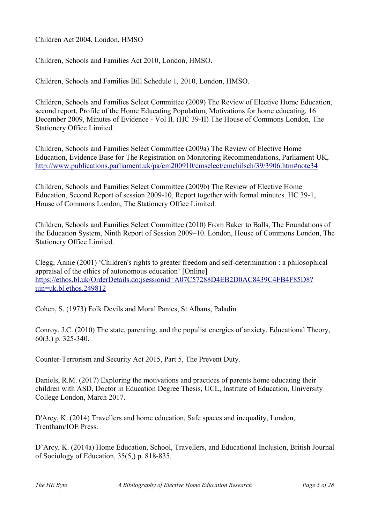Children Act 2004, London, HMSO

Children, Schools and Families Act 2010, London, HMSO.

Children, Schools and Families Bill Schedule 1, 2010, London, HMSO.

Children, Schools and Families Select Committee (2009) The Review of Elective Home Education, second report, Profile of the Home Educating Population, Motivations for home educating, 16 December 2009, Minutes of Evidence - Vol II. (HC 39-II) The House of Commons London, The Stationery Office Limited.

Children, Schools and Families Select Committee (2009a) The Review of Elective Home Education, Evidence Base for The Registration on Monitoring Recommendations, Parliament UK, <http://www.publications.parliament.uk/pa/cm200910/cmselect/cmchilsch/39/3906.htm#note34>

Children, Schools and Families Select Committee (2009b) The Review of Elective Home Education, Second Report of session 2009-10, Report together with formal minutes. HC 39-1, House of Commons London, The Stationery Office Limited.

Children, Schools and Families Select Committee (2010) From Baker to Balls, The Foundations of the Education System, Ninth Report of Session 2009–10. London, House of Commons London, The Stationery Office Limited.

Clegg, Annie (2001) 'Children's rights to greater freedom and self-determination : a philosophical appraisal of the ethics of autonomous education' [Online] [https://ethos.bl.uk/OrderDetails.do;jsessionid=A07C57288D4EB2D0AC8439C4FB4F85D8?](https://ethos.bl.uk/OrderDetails.do;jsessionid=A07C57288D4EB2D0AC8439C4FB4F85D8?uin=uk.bl.ethos.249812) [uin=uk.bl.ethos.249812](https://ethos.bl.uk/OrderDetails.do;jsessionid=A07C57288D4EB2D0AC8439C4FB4F85D8?uin=uk.bl.ethos.249812)

Cohen, S. (1973) Folk Devils and Moral Panics, St Albans, Paladin.

Conroy, J.C. (2010) The state, parenting, and the populist energies of anxiety. Educational Theory, 60(3,) p. 325-340.

Counter-Terrorism and Security Act 2015, Part 5, The Prevent Duty.

Daniels, R.M. (2017) Exploring the motivations and practices of parents home educating their children with ASD, Doctor in Education Degree Thesis, UCL, Institute of Education, University College London, March 2017.

D'Arcy, K. (2014) Travellers and home education, Safe spaces and inequality, London, Trentham/IOE Press.

D'Arcy, K. (2014a) Home Education, School, Travellers, and Educational Inclusion, British Journal of Sociology of Education, 35(5,) p. 818-835.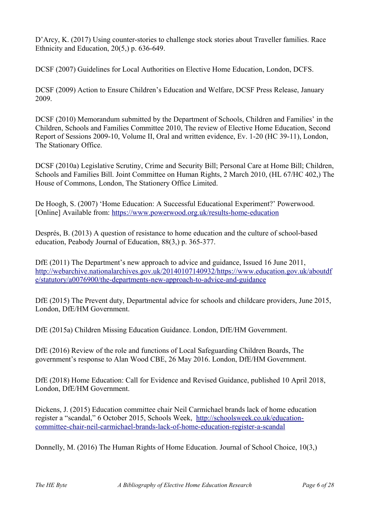D'Arcy, K. (2017) Using counter-stories to challenge stock stories about Traveller families. Race Ethnicity and Education, 20(5,) p. 636-649.

DCSF (2007) Guidelines for Local Authorities on Elective Home Education, London, DCFS.

DCSF (2009) Action to Ensure Children's Education and Welfare, DCSF Press Release, January 2009.

DCSF (2010) Memorandum submitted by the Department of Schools, Children and Families' in the Children, Schools and Families Committee 2010, The review of Elective Home Education, Second Report of Sessions 2009-10, Volume II, Oral and written evidence, Ev. 1-20 (HC 39-11), London, The Stationary Office.

DCSF (2010a) Legislative Scrutiny, Crime and Security Bill; Personal Care at Home Bill; Children, Schools and Families Bill. Joint Committee on Human Rights, 2 March 2010, (HL 67/HC 402,) The House of Commons, London, The Stationery Office Limited.

De Hoogh, S. (2007) 'Home Education: A Successful Educational Experiment?' Powerwood. [Online] Available from:<https://www.powerwood.org.uk/results-home-education>

Després, B. (2013) A question of resistance to home education and the culture of school-based education, Peabody Journal of Education, 88(3,) p. 365-377.

DfE (2011) The Department's new approach to advice and guidance, Issued 16 June 2011, [http://webarchive.nationalarchives.gov.uk/20140107140932/https://www.education.gov.uk/aboutdf](http://webarchive.nationalarchives.gov.uk/20140107140932/https://www.education.gov.uk/aboutdfe/statutory/a0076900/the-departments-new-approach-to-advice-and-guidance) [e/statutory/a0076900/the-departments-new-approach-to-advice-and-guidance](http://webarchive.nationalarchives.gov.uk/20140107140932/https://www.education.gov.uk/aboutdfe/statutory/a0076900/the-departments-new-approach-to-advice-and-guidance)

DfE (2015) The Prevent duty, Departmental advice for schools and childcare providers, June 2015, London, DfE/HM Government.

DfE (2015a) Children Missing Education Guidance. London, DfE/HM Government.

DfE (2016) Review of the role and functions of Local Safeguarding Children Boards, The government's response to Alan Wood CBE, 26 May 2016. London, DfE/HM Government.

DfE (2018) Home Education: Call for Evidence and Revised Guidance, published 10 April 2018, London, DfE/HM Government.

Dickens, J. (2015) Education committee chair Neil Carmichael brands lack of home education register a "scandal," 6 October 2015, Schools Week, [http://schoolsweek.co.uk/education](http://schoolsweek.co.uk/education-committee-chair-neil-carmichael-brands-lack-of-home-education-register-a-scandal)[committee-chair-neil-carmichael-brands-lack-of-home-education-register-a-scandal](http://schoolsweek.co.uk/education-committee-chair-neil-carmichael-brands-lack-of-home-education-register-a-scandal)

Donnelly, M. (2016) The Human Rights of Home Education. Journal of School Choice, 10(3,)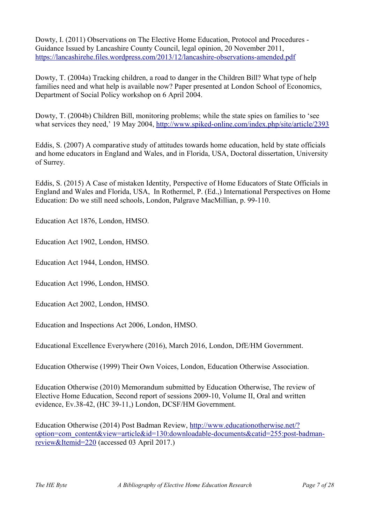Dowty, I. (2011) Observations on The Elective Home Education, Protocol and Procedures - Guidance Issued by Lancashire County Council, legal opinion, 20 November 2011, <https://lancashirehe.files.wordpress.com/2013/12/lancashire-observations-amended.pdf>

Dowty, T. (2004a) Tracking children, a road to danger in the Children Bill? What type of help families need and what help is available now? Paper presented at London School of Economics, Department of Social Policy workshop on 6 April 2004.

Dowty, T. (2004b) Children Bill, monitoring problems; while the state spies on families to 'see what services they need,' 19 May 2004,<http://www.spiked-online.com/index.php/site/article/2393>

Eddis, S. (2007) A comparative study of attitudes towards home education, held by state officials and home educators in England and Wales, and in Florida, USA, Doctoral dissertation, University of Surrey.

Eddis, S. (2015) A Case of mistaken Identity, Perspective of Home Educators of State Officials in England and Wales and Florida, USA, In Rothermel, P. (Ed.,) International Perspectives on Home Education: Do we still need schools, London, Palgrave MacMillian, p. 99-110.

Education Act 1876, London, HMSO.

Education Act 1902, London, HMSO.

Education Act 1944, London, HMSO.

Education Act 1996, London, HMSO.

Education Act 2002, London, HMSO.

Education and Inspections Act 2006, London, HMSO.

Educational Excellence Everywhere (2016), March 2016, London, DfE/HM Government.

Education Otherwise (1999) Their Own Voices, London, Education Otherwise Association.

Education Otherwise (2010) Memorandum submitted by Education Otherwise, The review of Elective Home Education, Second report of sessions 2009-10, Volume II, Oral and written evidence, Ev.38-42, (HC 39-11,) London, DCSF/HM Government.

Education Otherwise (2014) Post Badman Review, [http://www.educationotherwise.net/?](http://www.educationotherwise.net/?option=com_content&view=article&id=130:downloadable-documents&catid=255:post-badman-review&Itemid=220) [option=com\\_content&view=article&id=130:downloadable-documents&catid=255:post-badman](http://www.educationotherwise.net/?option=com_content&view=article&id=130:downloadable-documents&catid=255:post-badman-review&Itemid=220)[review&Itemid=220](http://www.educationotherwise.net/?option=com_content&view=article&id=130:downloadable-documents&catid=255:post-badman-review&Itemid=220) (accessed 03 April 2017.)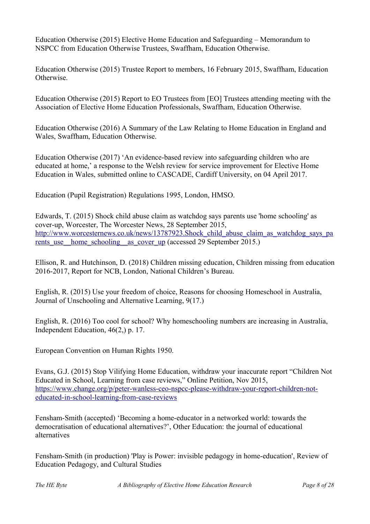Education Otherwise (2015) Elective Home Education and Safeguarding – Memorandum to NSPCC from Education Otherwise Trustees, Swaffham, Education Otherwise.

Education Otherwise (2015) Trustee Report to members, 16 February 2015, Swaffham, Education Otherwise.

Education Otherwise (2015) Report to EO Trustees from [EO] Trustees attending meeting with the Association of Elective Home Education Professionals, Swaffham, Education Otherwise.

Education Otherwise (2016) A Summary of the Law Relating to Home Education in England and Wales, Swaffham, Education Otherwise.

Education Otherwise (2017) 'An evidence-based review into safeguarding children who are educated at home,' a response to the Welsh review for service improvement for Elective Home Education in Wales, submitted online to CASCADE, Cardiff University, on 04 April 2017.

Education (Pupil Registration) Regulations 1995, London, HMSO.

Edwards, T. (2015) Shock child abuse claim as watchdog says parents use 'home schooling' as cover-up, Worcester, The Worcester News, 28 September 2015, [http://www.worcesternews.co.uk/news/13787923.Shock\\_child\\_abuse\\_claim\\_as\\_watchdog\\_says\\_pa](http://www.worcesternews.co.uk/news/13787923.Shock_child_abuse_claim_as_watchdog_says_parents_use__home_schooling__as_cover_up) rents\_use \_ home\_schooling\_as\_cover\_up (accessed 29 September 2015.)

Ellison, R. and Hutchinson, D. (2018) Children missing education, Children missing from education 2016-2017, Report for NCB, London, National Children's Bureau.

English, R. (2015) Use your freedom of choice, Reasons for choosing Homeschool in Australia, Journal of Unschooling and Alternative Learning, 9(17.)

English, R. (2016) Too cool for school? Why homeschooling numbers are increasing in Australia, Independent Education, 46(2,) p. 17.

European Convention on Human Rights 1950.

Evans, G.J. (2015) Stop Vilifying Home Education, withdraw your inaccurate report "Children Not Educated in School, Learning from case reviews," Online Petition, Nov 2015, [https://www.change.org/p/peter-wanless-ceo-nspcc-please-withdraw-your-report-children-not](https://www.change.org/p/peter-wanless-ceo-nspcc-please-withdraw-your-report-children-not-educated-in-school-learning-from-case-reviews)[educated-in-school-learning-from-case-reviews](https://www.change.org/p/peter-wanless-ceo-nspcc-please-withdraw-your-report-children-not-educated-in-school-learning-from-case-reviews)

Fensham-Smith (accepted) 'Becoming a home-educator in a networked world: towards the democratisation of educational alternatives?', Other Education: the journal of educational alternatives

Fensham-Smith (in production) 'Play is Power: invisible pedagogy in home-education', Review of Education Pedagogy, and Cultural Studies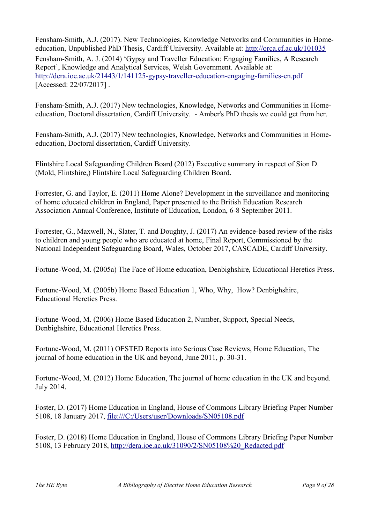Fensham-Smith, A.J. (2017). New Technologies, Knowledge Networks and Communities in Homeeducation, Unpublished PhD Thesis, Cardiff University. Available at:<http://orca.cf.ac.uk/101035> Fensham-Smith, A. J. (2014) 'Gypsy and Traveller Education: Engaging Families, A Research Report', Knowledge and Analytical Services, Welsh Government. Available at: <http://dera.ioe.ac.uk/21443/1/141125-gypsy-traveller-education-engaging-families-en.pdf> [Accessed: 22/07/2017].

Fensham-Smith, A.J. (2017) New technologies, Knowledge, Networks and Communities in Homeeducation, Doctoral dissertation, Cardiff University. - Amber's PhD thesis we could get from her.

Fensham-Smith, A.J. (2017) New technologies, Knowledge, Networks and Communities in Homeeducation, Doctoral dissertation, Cardiff University.

Flintshire Local Safeguarding Children Board (2012) Executive summary in respect of Sion D. (Mold, Flintshire,) Flintshire Local Safeguarding Children Board.

Forrester, G. and Taylor, E. (2011) Home Alone? Development in the surveillance and monitoring of home educated children in England, Paper presented to the British Education Research Association Annual Conference, Institute of Education, London, 6-8 September 2011.

Forrester, G., Maxwell, N., Slater, T. and Doughty, J. (2017) An evidence-based review of the risks to children and young people who are educated at home, Final Report, Commissioned by the National Independent Safeguarding Board, Wales, October 2017, CASCADE, Cardiff University.

Fortune-Wood, M. (2005a) The Face of Home education, Denbighshire, Educational Heretics Press.

Fortune-Wood, M. (2005b) Home Based Education 1, Who, Why, How? Denbighshire, Educational Heretics Press.

Fortune-Wood, M. (2006) Home Based Education 2, Number, Support, Special Needs, Denbighshire, Educational Heretics Press.

Fortune-Wood, M. (2011) OFSTED Reports into Serious Case Reviews, Home Education, The journal of home education in the UK and beyond, June 2011, p. 30-31.

Fortune-Wood, M. (2012) Home Education, The journal of home education in the UK and beyond. July 2014.

Foster, D. (2017) Home Education in England, House of Commons Library Briefing Paper Number 5108, 18 January 2017,<file:///C:/Users/user/Downloads/SN05108.pdf>

Foster, D. (2018) Home Education in England, House of Commons Library Briefing Paper Number 5108, 13 February 2018, [http://dera.ioe.ac.uk/31090/2/SN05108%20\\_Redacted.pdf](http://dera.ioe.ac.uk/31090/2/SN05108%20_Redacted.pdf)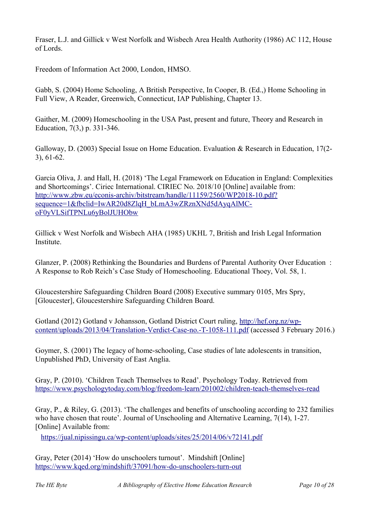Fraser, L.J. and Gillick v West Norfolk and Wisbech Area Health Authority (1986) AC 112, House of Lords.

Freedom of Information Act 2000, London, HMSO.

Gabb, S. (2004) Home Schooling, A British Perspective, In Cooper, B. (Ed.,) Home Schooling in Full View, A Reader, Greenwich, Connecticut, IAP Publishing, Chapter 13.

Gaither, M. (2009) Homeschooling in the USA Past, present and future, Theory and Research in Education, 7(3,) p. 331-346.

Galloway, D. (2003) Special Issue on Home Education. Evaluation & Research in Education, 17(2- 3), 61-62.

Garcia Oliva, J. and Hall, H. (2018) 'The Legal Framework on Education in England: Complexities and Shortcomings'. Ciriec International. CIRIEC No. 2018/10 [Online] available from: [http://www.zbw.eu/econis-archiv/bitstream/handle/11159/2560/WP2018-10.pdf?](http://www.zbw.eu/econis-archiv/bitstream/handle/11159/2560/WP2018-10.pdf?sequence=1&fbclid=IwAR20d8ZlqH_bLmA3wZRznXNd5dAyqAlMC-oF0yVLSifTPNLu6yBolJUHObw) [sequence=1&fbclid=IwAR20d8ZlqH\\_bLmA3wZRznXNd5dAyqAlMC](http://www.zbw.eu/econis-archiv/bitstream/handle/11159/2560/WP2018-10.pdf?sequence=1&fbclid=IwAR20d8ZlqH_bLmA3wZRznXNd5dAyqAlMC-oF0yVLSifTPNLu6yBolJUHObw)[oF0yVLSifTPNLu6yBolJUHObw](http://www.zbw.eu/econis-archiv/bitstream/handle/11159/2560/WP2018-10.pdf?sequence=1&fbclid=IwAR20d8ZlqH_bLmA3wZRznXNd5dAyqAlMC-oF0yVLSifTPNLu6yBolJUHObw)

Gillick v West Norfolk and Wisbech AHA (1985) UKHL 7, British and Irish Legal Information Institute.

Glanzer, P. (2008) Rethinking the Boundaries and Burdens of Parental Authority Over Education : A Response to Rob Reich's Case Study of Homeschooling. Educational Thoey, Vol. 58, 1.

Gloucestershire Safeguarding Children Board (2008) Executive summary 0105, Mrs Spry, [Gloucester], Gloucestershire Safeguarding Children Board.

Gotland (2012) Gotland v Johansson, Gotland District Court ruling, [http://hef.org.nz/wp](http://hef.org.nz/wp-content/uploads/2013/04/Translation-Verdict-Case-no.-T-1058-111.pdf)[content/uploads/2013/04/Translation-Verdict-Case-no.-T-1058-111.pdf](http://hef.org.nz/wp-content/uploads/2013/04/Translation-Verdict-Case-no.-T-1058-111.pdf) (accessed 3 February 2016.)

Goymer, S. (2001) The legacy of home-schooling, Case studies of late adolescents in transition, Unpublished PhD, University of East Anglia.

Gray, P. (2010). 'Children Teach Themselves to Read'. Psychology Today. Retrieved from <https://www.psychologytoday.com/blog/freedom-learn/201002/children-teach-themselves-read>

Gray, P., & Riley, G. (2013). 'The challenges and benefits of unschooling according to 232 families who have chosen that route'. Journal of Unschooling and Alternative Learning, 7(14), 1-27. [Online] Available from:

<https://jual.nipissingu.ca/wp-content/uploads/sites/25/2014/06/v72141.pdf>

Gray, Peter (2014) 'How do unschoolers turnout'. Mindshift [Online] <https://www.kqed.org/mindshift/37091/how-do-unschoolers-turn-out>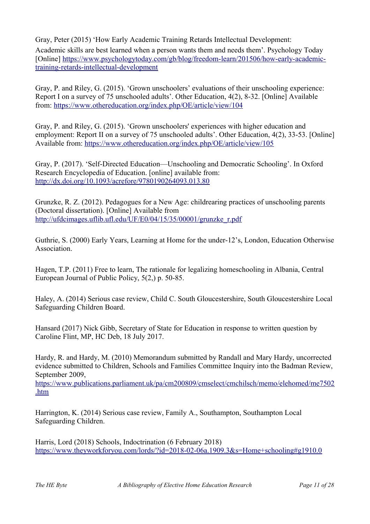Gray, Peter (2015) 'How Early Academic Training Retards Intellectual Development: Academic skills are best learned when a person wants them and needs them'. Psychology Today [Online] [https://www.psychologytoday.com/gb/blog/freedom-learn/201506/how-early-academic](https://www.psychologytoday.com/gb/blog/freedom-learn/201506/how-early-academic-training-retards-intellectual-development)[training-retards-intellectual-development](https://www.psychologytoday.com/gb/blog/freedom-learn/201506/how-early-academic-training-retards-intellectual-development)

Gray, P. and Riley, G. (2015). 'Grown unschoolers' evaluations of their unschooling experience: Report I on a survey of 75 unschooled adults'. Other Education, 4(2), 8-32. [Online] Available from:<https://www.othereducation.org/index.php/OE/article/view/104>

Gray, P. and Riley, G. (2015). 'Grown unschoolers' experiences with higher education and employment: Report II on a survey of 75 unschooled adults'. Other Education, 4(2), 33-53. [Online] Available from:<https://www.othereducation.org/index.php/OE/article/view/105>

Gray, P. (2017). 'Self-Directed Education—Unschooling and Democratic Schooling'. In Oxford Research Encyclopedia of Education. [online] available from: <http://dx.doi.org/10.1093/acrefore/9780190264093.013.80>

Grunzke, R. Z. (2012). Pedagogues for a New Age: childrearing practices of unschooling parents (Doctoral dissertation). [Online] Available from [http://ufdcimages.uflib.ufl.edu/UF/E0/04/15/35/00001/grunzke\\_r.pdf](http://ufdcimages.uflib.ufl.edu/UF/E0/04/15/35/00001/grunzke_r.pdf)

Guthrie, S. (2000) Early Years, Learning at Home for the under-12's, London, Education Otherwise Association.

Hagen, T.P. (2011) Free to learn, The rationale for legalizing homeschooling in Albania, Central European Journal of Public Policy, 5(2,) p. 50-85.

Haley, A. (2014) Serious case review, Child C. South Gloucestershire, South Gloucestershire Local Safeguarding Children Board.

Hansard (2017) Nick Gibb, Secretary of State for Education in response to written question by Caroline Flint, MP, HC Deb, 18 July 2017.

Hardy, R. and Hardy, M. (2010) Memorandum submitted by Randall and Mary Hardy, uncorrected evidence submitted to Children, Schools and Families Committee Inquiry into the Badman Review, September 2009,

[https://www.publications.parliament.uk/pa/cm200809/cmselect/cmchilsch/memo/elehomed/me7502](https://www.publications.parliament.uk/pa/cm200809/cmselect/cmchilsch/memo/elehomed/me7502.htm) [.htm](https://www.publications.parliament.uk/pa/cm200809/cmselect/cmchilsch/memo/elehomed/me7502.htm)

Harrington, K. (2014) Serious case review, Family A., Southampton, Southampton Local Safeguarding Children.

Harris, Lord (2018) Schools, Indoctrination (6 February 2018) <https://www.theyworkforyou.com/lords/?id=2018-02-06a.1909.3&s=Home+schooling#g1910.0>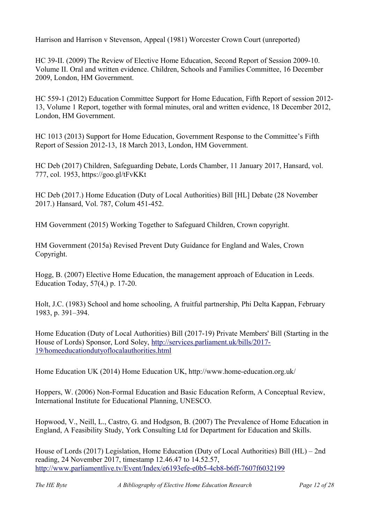Harrison and Harrison v Stevenson, Appeal (1981) Worcester Crown Court (unreported)

HC 39-II. (2009) The Review of Elective Home Education, Second Report of Session 2009-10. Volume II. Oral and written evidence. Children, Schools and Families Committee, 16 December 2009, London, HM Government.

HC 559-1 (2012) Education Committee Support for Home Education, Fifth Report of session 2012- 13, Volume 1 Report, together with formal minutes, oral and written evidence, 18 December 2012, London, HM Government.

HC 1013 (2013) Support for Home Education, Government Response to the Committee's Fifth Report of Session 2012-13, 18 March 2013, London, HM Government.

HC Deb (2017) Children, Safeguarding Debate, Lords Chamber, 11 January 2017, Hansard, vol. 777, col. 1953, https://goo.gl/tFvKKt

HC Deb (2017.) Home Education (Duty of Local Authorities) Bill [HL] Debate (28 November 2017.) Hansard, Vol. 787, Colum 451-452.

HM Government (2015) Working Together to Safeguard Children, Crown copyright.

HM Government (2015a) Revised Prevent Duty Guidance for England and Wales, Crown Copyright.

Hogg, B. (2007) Elective Home Education, the management approach of Education in Leeds. Education Today, 57(4,) p. 17-20.

Holt, J.C. (1983) School and home schooling, A fruitful partnership, Phi Delta Kappan, February 1983, p. 391–394.

Home Education (Duty of Local Authorities) Bill (2017-19) Private Members' Bill (Starting in the House of Lords) Sponsor, Lord Soley, [http://services.parliament.uk/bills/2017-](http://services.parliament.uk/bills/2017-19/homeeducationdutyoflocalauthorities.html) [19/homeeducationdutyoflocalauthorities.html](http://services.parliament.uk/bills/2017-19/homeeducationdutyoflocalauthorities.html)

Home Education UK (2014) Home Education UK, http://www.home-education.org.uk/

Hoppers, W. (2006) Non-Formal Education and Basic Education Reform, A Conceptual Review, International Institute for Educational Planning, UNESCO.

Hopwood, V., Neill, L., Castro, G. and Hodgson, B. (2007) The Prevalence of Home Education in England, A Feasibility Study, York Consulting Ltd for Department for Education and Skills.

House of Lords (2017) Legislation, Home Education (Duty of Local Authorities) Bill (HL) – 2nd reading, 24 November 2017, timestamp 12.46.47 to 14.52.57, <http://www.parliamentlive.tv/Event/Index/e6193efe-e0b5-4cb8-b6ff-7607f6032199>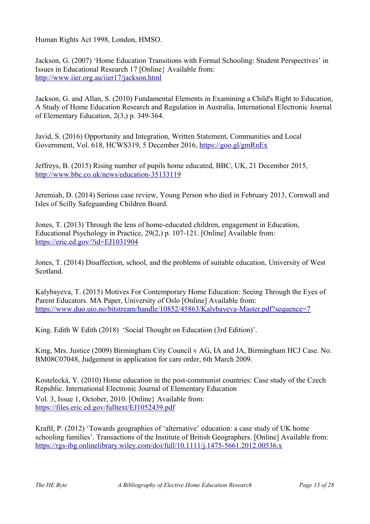Human Rights Act 1998, London, HMSO.

Jackson, G. (2007) 'Home Education Transitions with Formal Schooling: Student Perspectives' in Issues in Educational Research 17 [Online} Available from: <http://www.iier.org.au/iier17/jackson.html>

Jackson, G. and Allan, S. (2010) Fundamental Elements in Examining a Child's Right to Education, A Study of Home Education Research and Regulation in Australia, International Electronic Journal of Elementary Education, 2(3,) p. 349-364.

Javid, S. (2016) Opportunity and Integration, Written Statement, Communities and Local Government, Vol. 618, HCWS319, 5 December 2016,<https://goo.gl/gmRnEx>

Jeffreys, B. (2015) Rising number of pupils home educated, BBC, UK, 21 December 2015, <http://www.bbc.co.uk/news/education-35133119>

Jeremiah, D. (2014) Serious case review, Young Person who died in February 2013, Cornwall and Isles of Scilly Safeguarding Children Board.

Jones, T. (2013) Through the lens of home-educated children, engagement in Education, Educational Psychology in Practice, 29(2,) p. 107-121. [Online] Available from: <https://eric.ed.gov/?id=EJ1031904>

Jones, T. (2014) Disaffection, school, and the problems of suitable education, University of West Scotland.

Kalybayeva, T. (2015) Motives For Contemporary Home Education: Seeing Through the Eyes of Parent Educators. MA Paper, University of Oslo [Online] Available from: <https://www.duo.uio.no/bitstream/handle/10852/45863/Kalybayeva-Master.pdf?sequence=7>

King. Edith W Edith (2018) 'Social Thought on Education (3rd Edition)'.

King, Mrs. Justice (2009) Birmingham City Council v AG, IA and JA, Birmingham HCJ Case. No. BM08C07048, Judgement in application for care order, 6th March 2009.

Kostelecká, Y. (2010) Home education in the post-communist countries: Case study of the Czech Republic. International Electronic Journal of Elementary Education

Vol. 3, Issue 1, October, 2010. [Online} Available from: <https://files.eric.ed.gov/fulltext/EJ1052439.pdf>

Kraftl, P. (2012) 'Towards geographies of 'alternative' education: a case study of UK home schooling families'. Transactions of the Institute of British Geographers. [Online] Available from: <https://rgs-ibg.onlinelibrary.wiley.com/doi/full/10.1111/j.1475-5661.2012.00536.x>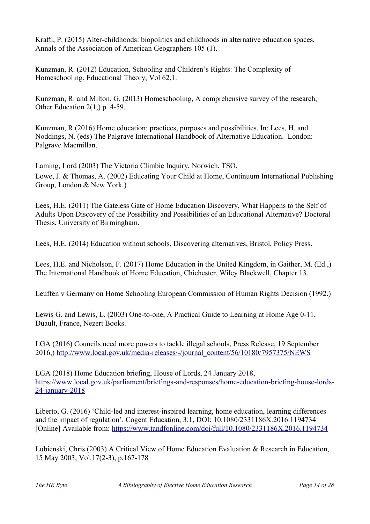Kraftl, P. (2015) Alter-childhoods: biopolitics and childhoods in alternative education spaces, Annals of the Association of American Geographers 105 (1).

Kunzman, R. (2012) Education, Schooling and Children's Rights: The Complexity of Homeschooling. Educational Theory, Vol 62,1.

Kunzman, R. and Milton, G. (2013) Homeschooling, A comprehensive survey of the research, Other Education 2(1,) p. 4-59.

Kunzman, R (2016) Home education: practices, purposes and possibilities. In: Lees, H. and Noddings, N. (eds) The Palgrave International Handbook of Alternative Education. London: Palgrave Macmillan.

Laming, Lord (2003) The Victoria Climbie Inquiry, Norwich, TSO. Lowe, J. & Thomas, A. (2002) Educating Your Child at Home, Continuum International Publishing Group, London & New York.)

Lees, H.E. (2011) The Gateless Gate of Home Education Discovery, What Happens to the Self of Adults Upon Discovery of the Possibility and Possibilities of an Educational Alternative? Doctoral Thesis, University of Birmingham.

Lees, H.E. (2014) Education without schools, Discovering alternatives, Bristol, Policy Press.

Lees, H.E. and Nicholson, F. (2017) Home Education in the United Kingdom, in Gaither, M. (Ed.,) The International Handbook of Home Education, Chichester, Wiley Blackwell, Chapter 13.

Leuffen v Germany on Home Schooling European Commission of Human Rights Decision (1992.)

Lewis G. and Lewis, L. (2003) One-to-one, A Practical Guide to Learning at Home Age 0-11, Duault, France, Nezert Books.

LGA (2016) Councils need more powers to tackle illegal schools, Press Release, 19 September 2016,) [http://www.local.gov.uk/media-releases/-/journal\\_content/56/10180/7957375/NEWS](http://www.local.gov.uk/media-releases/-/journal_content/56/10180/7957375/NEWS)

LGA (2018) Home Education briefing, House of Lords, 24 January 2018, [https://www.local.gov.uk/parliament/briefings-and-responses/home-education-briefing-house-lords-](https://www.local.gov.uk/parliament/briefings-and-responses/home-education-briefing-house-lords-24-january-2018)[24-january-2018](https://www.local.gov.uk/parliament/briefings-and-responses/home-education-briefing-house-lords-24-january-2018)

Liberto, G. (2016) 'Child-led and interest-inspired learning, home education, learning differences and the impact of regulation'. Cogent Education, 3:1, DOI: 10.1080/2331186X.2016.1194734 [Online] Available from:<https://www.tandfonline.com/doi/full/10.1080/2331186X.2016.1194734>

Lubienski, Chris (2003) A Critical View of Home Education Evaluation & Research in Education, 15 May 2003, Vol.17(2-3), p.167-178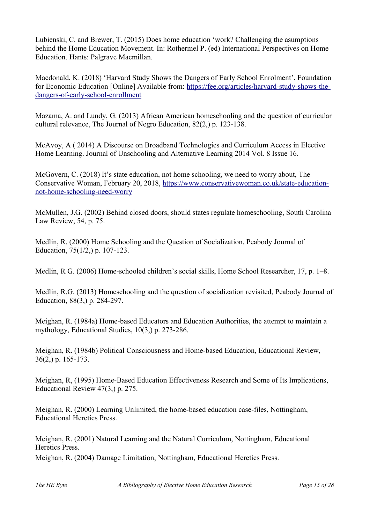Lubienski, C. and Brewer, T. (2015) Does home education 'work? Challenging the asumptions behind the Home Education Movement. In: Rothermel P. (ed) International Perspectives on Home Education. Hants: Palgrave Macmillan.

Macdonald, K. (2018) 'Harvard Study Shows the Dangers of Early School Enrolment'. Foundation for Economic Education [Online] Available from: [https://fee.org/articles/harvard-study-shows-the](https://fee.org/articles/harvard-study-shows-the-dangers-of-early-school-enrollment)[dangers-of-early-school-enrollment](https://fee.org/articles/harvard-study-shows-the-dangers-of-early-school-enrollment)

Mazama, A. and Lundy, G. (2013) African American homeschooling and the question of curricular cultural relevance, The Journal of Negro Education, 82(2,) p. 123-138.

McAvoy, A ( 2014) A Discourse on Broadband Technologies and Curriculum Access in Elective Home Learning. Journal of Unschooling and Alternative Learning 2014 Vol. 8 Issue 16.

McGovern, C. (2018) It's state education, not home schooling, we need to worry about, The Conservative Woman, February 20, 2018, [https://www.conservativewoman.co.uk/state-education](https://www.conservativewoman.co.uk/state-education-not-home-schooling-need-worry)[not-home-schooling-need-worry](https://www.conservativewoman.co.uk/state-education-not-home-schooling-need-worry)

McMullen, J.G. (2002) Behind closed doors, should states regulate homeschooling, South Carolina Law Review, 54, p. 75.

Medlin, R. (2000) Home Schooling and the Question of Socialization, Peabody Journal of Education, 75(1/2,) p. 107-123.

Medlin, R G. (2006) Home-schooled children's social skills, Home School Researcher, 17, p. 1–8.

Medlin, R.G. (2013) Homeschooling and the question of socialization revisited, Peabody Journal of Education, 88(3,) p. 284-297.

Meighan, R. (1984a) Home-based Educators and Education Authorities, the attempt to maintain a mythology, Educational Studies, 10(3,) p. 273-286.

Meighan, R. (1984b) Political Consciousness and Home-based Education, Educational Review, 36(2,) p. 165-173.

Meighan, R, (1995) Home-Based Education Effectiveness Research and Some of Its Implications, Educational Review 47(3,) p. 275.

Meighan, R. (2000) Learning Unlimited, the home-based education case-files, Nottingham, Educational Heretics Press.

Meighan, R. (2001) Natural Learning and the Natural Curriculum, Nottingham, Educational Heretics Press.

Meighan, R. (2004) Damage Limitation, Nottingham, Educational Heretics Press.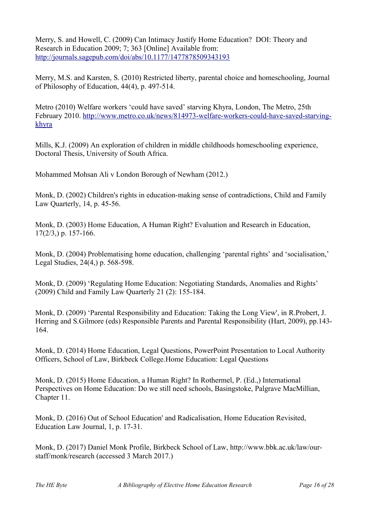Merry, S. and Howell, C. (2009) Can Intimacy Justify Home Education? DOI: Theory and Research in Education 2009; 7; 363 [Online] Available from: <http://journals.sagepub.com/doi/abs/10.1177/1477878509343193>

Merry, M.S. and Karsten, S. (2010) Restricted liberty, parental choice and homeschooling, Journal of Philosophy of Education, 44(4), p. 497-514.

Metro (2010) Welfare workers 'could have saved' starving Khyra, London, The Metro, 25th February 2010. [http://www.metro.co.uk/news/814973-welfare-workers-could-have-saved-starving](http://www.metro.co.uk/news/814973-welfare-workers-could-have-saved-starving-khyra)[khyra](http://www.metro.co.uk/news/814973-welfare-workers-could-have-saved-starving-khyra)

Mills, K.J. (2009) An exploration of children in middle childhoods homeschooling experience, Doctoral Thesis, University of South Africa.

Mohammed Mohsan Ali v London Borough of Newham (2012.)

Monk, D. (2002) Children's rights in education-making sense of contradictions, Child and Family Law Quarterly, 14, p. 45-56.

Monk, D. (2003) Home Education, A Human Right? Evaluation and Research in Education, 17(2/3,) p. 157-166.

Monk, D. (2004) Problematising home education, challenging 'parental rights' and 'socialisation,' Legal Studies, 24(4,) p. 568-598.

Monk, D. (2009) 'Regulating Home Education: Negotiating Standards, Anomalies and Rights' (2009) Child and Family Law Quarterly 21 (2): 155-184.

Monk, D. (2009) 'Parental Responsibility and Education: Taking the Long View', in R.Probert, J. Herring and S.Gilmore (eds) Responsible Parents and Parental Responsibility (Hart, 2009), pp.143- 164.

Monk, D. (2014) Home Education, Legal Questions, PowerPoint Presentation to Local Authority Officers, School of Law, Birkbeck College.Home Education: Legal Questions

Monk, D. (2015) Home Education, a Human Right? In Rothermel, P. (Ed.,) International Perspectives on Home Education: Do we still need schools, Basingstoke, Palgrave MacMillian, Chapter 11.

Monk, D. (2016) Out of School Education' and Radicalisation, Home Education Revisited, Education Law Journal, 1, p. 17-31.

Monk, D. (2017) Daniel Monk Profile, Birkbeck School of Law, http://www.bbk.ac.uk/law/ourstaff/monk/research (accessed 3 March 2017.)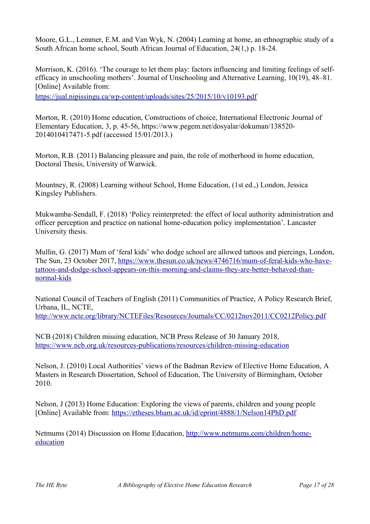Moore, G.L., Lemmer, E.M. and Van Wyk, N. (2004) Learning at home, an ethnographic study of a South African home school, South African Journal of Education, 24(1,) p. 18-24.

Morrison, K. (2016). 'The courage to let them play: factors influencing and limiting feelings of selfefficacy in unschooling mothers'. Journal of Unschooling and Alternative Learning, 10(19), 48–81. [Online] Available from:

<https://jual.nipissingu.ca/wp-content/uploads/sites/25/2015/10/v10193.pdf>

Morton, R. (2010) Home education, Constructions of choice, International Electronic Journal of Elementary Education, 3, p. 45-56, https://www.pegem.net/dosyalar/dokuman/138520- 2014010417471-5.pdf (accessed 15/01/2013.)

Morton, R.B. (2011) Balancing pleasure and pain, the role of motherhood in home education, Doctoral Thesis, University of Warwick.

Mountney, R. (2008) Learning without School, Home Education, (1st ed.,) London, Jessica Kingsley Publishers.

Mukwamba-Sendall, F. (2018) 'Policy reinterpreted: the effect of local authority administration and officer perception and practice on national home-education policy implementation'. Lancaster University thesis.

Mullin, G. (2017) Mum of 'feral kids' who dodge school are allowed tattoos and piercings, London, The Sun, 23 October 2017, [https://www.thesun.co.uk/news/4746716/mum-of-feral-kids-who-have](https://www.thesun.co.uk/news/4746716/mum-of-feral-kids-who-have-tattoos-and-dodge-school-appears-on-this-morning-and-claims-they-are-better-behaved-than-normal-kids)[tattoos-and-dodge-school-appears-on-this-morning-and-claims-they-are-better-behaved-than](https://www.thesun.co.uk/news/4746716/mum-of-feral-kids-who-have-tattoos-and-dodge-school-appears-on-this-morning-and-claims-they-are-better-behaved-than-normal-kids)[normal-kids](https://www.thesun.co.uk/news/4746716/mum-of-feral-kids-who-have-tattoos-and-dodge-school-appears-on-this-morning-and-claims-they-are-better-behaved-than-normal-kids)

National Council of Teachers of English (2011) Communities of Practice, A Policy Research Brief, Urbana, IL, NCTE, <http://www.ncte.org/library/NCTEFiles/Resources/Journals/CC/0212nov2011/CC0212Policy.pdf>

NCB (2018) Children missing education, NCB Press Release of 30 January 2018, <https://www.ncb.org.uk/resources-publications/resources/children-missing-education>

Nelson, J. (2010) Local Authorities' views of the Badman Review of Elective Home Education, A Masters in Research Dissertation, School of Education, The University of Birmingham, October 2010.

Nelson, J (2013) Home Education: Exploring the views of parents, children and young people [Online] Available from:<https://etheses.bham.ac.uk/id/eprint/4888/1/Nelson14PhD.pdf>

Netmums (2014) Discussion on Home Education, [http://www.netmums.com/children/home](http://www.netmums.com/children/home-education)[education](http://www.netmums.com/children/home-education)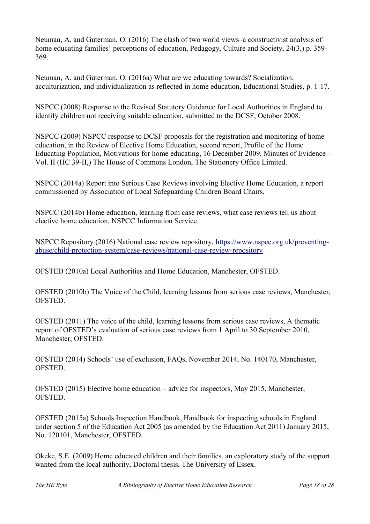Neuman, A. and Guterman, O. (2016) The clash of two world views–a constructivist analysis of home educating families' perceptions of education, Pedagogy, Culture and Society, 24(3,) p. 359- 369.

Neuman, A. and Guterman, O. (2016a) What are we educating towards? Socialization, acculturization, and individualization as reflected in home education, Educational Studies, p. 1-17.

NSPCC (2008) Response to the Revised Statutory Guidance for Local Authorities in England to identify children not receiving suitable education, submitted to the DCSF, October 2008.

NSPCC (2009) NSPCC response to DCSF proposals for the registration and monitoring of home education, in the Review of Elective Home Education, second report, Profile of the Home Educating Population, Motivations for home educating, 16 December 2009, Minutes of Evidence – Vol. II (HC 39-II,) The House of Commons London, The Stationery Office Limited.

NSPCC (2014a) Report into Serious Case Reviews involving Elective Home Education, a report commissioned by Association of Local Safeguarding Children Board Chairs.

NSPCC (2014b) Home education, learning from case reviews, what case reviews tell us about elective home education, NSPCC Information Service.

NSPCC Repository (2016) National case review repository, [https://www.nspcc.org.uk/preventing](https://www.nspcc.org.uk/preventing-abuse/child-protection-system/case-reviews/national-case-review-repository)[abuse/child-protection-system/case-reviews/national-case-review-repository](https://www.nspcc.org.uk/preventing-abuse/child-protection-system/case-reviews/national-case-review-repository)

OFSTED (2010a) Local Authorities and Home Education, Manchester, OFSTED.

OFSTED (2010b) The Voice of the Child, learning lessons from serious case reviews, Manchester, OFSTED.

OFSTED (2011) The voice of the child, learning lessons from serious case reviews, A thematic report of OFSTED's evaluation of serious case reviews from 1 April to 30 September 2010, Manchester, OFSTED.

OFSTED (2014) Schools' use of exclusion, FAQs, November 2014, No. 140170, Manchester, OFSTED.

OFSTED (2015) Elective home education – advice for inspectors, May 2015, Manchester, OFSTED.

OFSTED (2015a) Schools Inspection Handbook, Handbook for inspecting schools in England under section 5 of the Education Act 2005 (as amended by the Education Act 2011) January 2015, No. 120101, Manchester, OFSTED.

Okeke, S.E. (2009) Home educated children and their families, an exploratory study of the support wanted from the local authority, Doctoral thesis, The University of Essex.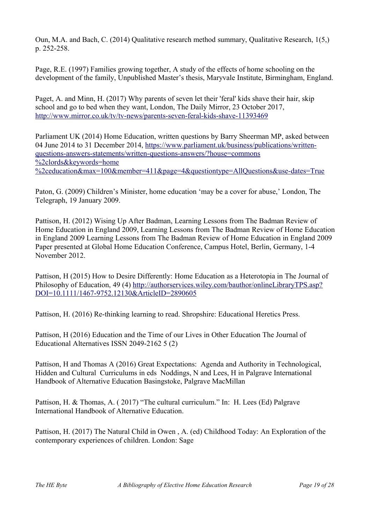Oun, M.A. and Bach, C. (2014) Qualitative research method summary, Qualitative Research, 1(5,) p. 252-258.

Page, R.E. (1997) Families growing together, A study of the effects of home schooling on the development of the family, Unpublished Master's thesis, Maryvale Institute, Birmingham, England.

Paget, A. and Minn, H. (2017) Why parents of seven let their 'feral' kids shave their hair, skip school and go to bed when they want, London, The Daily Mirror, 23 October 2017, <http://www.mirror.co.uk/tv/tv-news/parents-seven-feral-kids-shave-11393469>

Parliament UK (2014) Home Education, written questions by Barry Sheerman MP, asked between 04 June 2014 to 31 December 2014, [https://www.parliament.uk/business/publications/written](https://www.parliament.uk/business/publications/written-questions-answers-statements/written-questions-answers/?house=commons%2Clords&keywords=home%2Ceducation&max=100&member=411&page=4&questiontype=AllQuestions&use-dates=True)[questions-answers-statements/written-questions-answers/?house=commons](https://www.parliament.uk/business/publications/written-questions-answers-statements/written-questions-answers/?house=commons%2Clords&keywords=home%2Ceducation&max=100&member=411&page=4&questiontype=AllQuestions&use-dates=True) %2clords&keywords=home [%2ceducation&max=100&member=411&page=4&questiontype=AllQuestions&use-dates=True](https://www.parliament.uk/business/publications/written-questions-answers-statements/written-questions-answers/?house=commons%2Clords&keywords=home%2Ceducation&max=100&member=411&page=4&questiontype=AllQuestions&use-dates=True)

Paton, G. (2009) Children's Minister, home education 'may be a cover for abuse,' London, The Telegraph, 19 January 2009.

Pattison, H. (2012) Wising Up After Badman, Learning Lessons from The Badman Review of Home Education in England 2009, Learning Lessons from The Badman Review of Home Education in England 2009 Learning Lessons from The Badman Review of Home Education in England 2009 Paper presented at Global Home Education Conference, Campus Hotel, Berlin, Germany, 1-4 November 2012.

Pattison, H (2015) How to Desire Differently: Home Education as a Heterotopia in The Journal of Philosophy of Education, 49 (4) [http://authorservices.wiley.com/bauthor/onlineLibraryTPS.asp?](http://authorservices.wiley.com/bauthor/onlineLibraryTPS.asp?DOI=10.1111/1467-9752.12130&ArticleID=2890605) [DOI=10.1111/1467-9752.12130&ArticleID=2890605](http://authorservices.wiley.com/bauthor/onlineLibraryTPS.asp?DOI=10.1111/1467-9752.12130&ArticleID=2890605)

Pattison, H. (2016) Re-thinking learning to read. Shropshire: Educational Heretics Press.

Pattison, H (2016) Education and the Time of our Lives in Other Education The Journal of Educational Alternatives ISSN 2049-2162 5 (2)

Pattison, H and Thomas A (2016) Great Expectations: Agenda and Authority in Technological, Hidden and Cultural Curriculums in eds Noddings, N and Lees, H in Palgrave International Handbook of Alternative Education Basingstoke, Palgrave MacMillan

Pattison, H. & Thomas, A. ( 2017) "The cultural curriculum." In: H. Lees (Ed) Palgrave International Handbook of Alternative Education.

Pattison, H. (2017) The Natural Child in Owen , A. (ed) Childhood Today: An Exploration of the contemporary experiences of children. London: Sage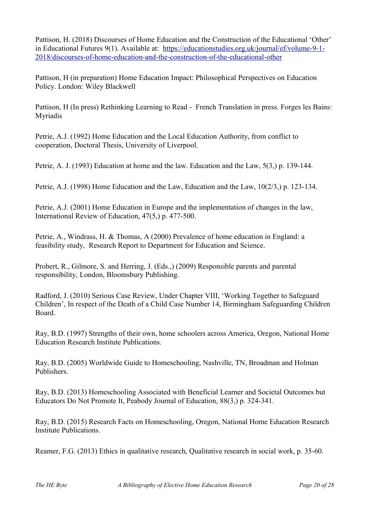Pattison, H. (2018) Discourses of Home Education and the Construction of the Educational 'Other' in Educational Futures 9(1). Available at: [https://educationstudies.org.uk/journal/ef/volume-9-1-](https://educationstudies.org.uk/journal/ef/volume-9-1-2018/discourses-of-home-education-and-the-construction-of-the-educational-other) [2018/discourses-of-home-education-and-the-construction-of-the-educational-other](https://educationstudies.org.uk/journal/ef/volume-9-1-2018/discourses-of-home-education-and-the-construction-of-the-educational-other)

Pattison, H (in preparation) Home Education Impact: Philosophical Perspectives on Education Policy. London: Wiley Blackwell

Pattison, H (In press) Rethinking Learning to Read - French Translation in press. Forges les Bains: Myriadis

Petrie, A.J. (1992) Home Education and the Local Education Authority, from conflict to cooperation, Doctoral Thesis, University of Liverpool.

Petrie, A. J. (1993) Education at home and the law. Education and the Law, 5(3,) p. 139-144.

Petrie, A.J. (1998) Home Education and the Law, Education and the Law, 10(2/3,) p. 123-134.

Petrie, A.J. (2001) Home Education in Europe and the implementation of changes in the law, International Review of Education, 47(5,) p. 477-500.

Petrie, A., Windrass, H. & Thomas, A (2000) Prevalence of home education in England: a feasibility study, Research Report to Department for Education and Science.

Probert, R., Gilmore, S. and Herring, J. (Eds.,) (2009) Responsible parents and parental responsibility, London, Bloomsbury Publishing.

Radford, J. (2010) Serious Case Review, Under Chapter VIII, 'Working Together to Safeguard Children', In respect of the Death of a Child Case Number 14, Birmingham Safeguarding Children Board.

Ray, B.D. (1997) Strengths of their own, home schoolers across America, Oregon, National Home Education Research Institute Publications.

Ray, B.D. (2005) Worldwide Guide to Homeschooling, Nashville, TN, Broadman and Holman Publishers.

Ray, B.D. (2013) Homeschooling Associated with Beneficial Learner and Societal Outcomes but Educators Do Not Promote It, Peabody Journal of Education, 88(3,) p. 324-341.

Ray, B.D. (2015) Research Facts on Homeschooling, Oregon, National Home Education Research Institute Publications.

Reamer, F.G. (2013) Ethics in qualitative research, Qualitative research in social work, p. 35-60.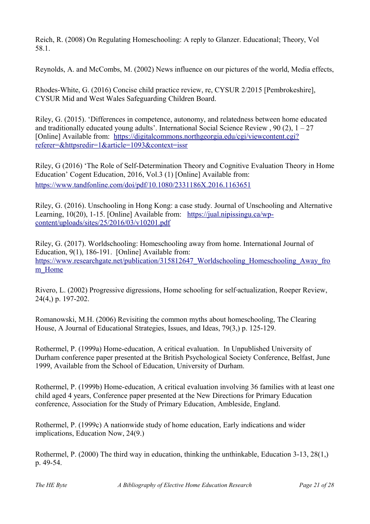Reich, R. (2008) On Regulating Homeschooling: A reply to Glanzer. Educational; Theory, Vol 58.1.

Reynolds, A. and McCombs, M. (2002) News influence on our pictures of the world, Media effects,

Rhodes-White, G. (2016) Concise child practice review, re, CYSUR 2/2015 [Pembrokeshire], CYSUR Mid and West Wales Safeguarding Children Board.

Riley, G. (2015). 'Differences in competence, autonomy, and relatedness between home educated and traditionally educated young adults'. International Social Science Review , 90 (2),  $1 - 27$ [Online] Available from: [https://digitalcommons.northgeorgia.edu/cgi/viewcontent.cgi?](https://digitalcommons.northgeorgia.edu/cgi/viewcontent.cgi?referer=&httpsredir=1&article=1093&context=issr) [referer=&httpsredir=1&article=1093&context=issr](https://digitalcommons.northgeorgia.edu/cgi/viewcontent.cgi?referer=&httpsredir=1&article=1093&context=issr)

Riley, G (2016) 'The Role of Self-Determination Theory and Cognitive Evaluation Theory in Home Education' Cogent Education, 2016, Vol.3 (1) [Online] Available from: <https://www.tandfonline.com/doi/pdf/10.1080/2331186X.2016.1163651>

Riley, G. (2016). Unschooling in Hong Kong: a case study. Journal of Unschooling and Alternative Learning, 10(20), 1-15. [Online] Available from: [https://jual.nipissingu.ca/wp](https://jual.nipissingu.ca/wp-content/uploads/sites/25/2016/03/v10201.pdf)[content/uploads/sites/25/2016/03/v10201.pdf](https://jual.nipissingu.ca/wp-content/uploads/sites/25/2016/03/v10201.pdf)

Riley, G. (2017). Worldschooling: Homeschooling away from home. International Journal of Education, 9(1), 186-191. [Online] Available from: https://www.researchgate.net/publication/315812647 Worldschooling Homeschooling Away fro m Home

Rivero, L. (2002) Progressive digressions, Home schooling for self-actualization, Roeper Review, 24(4,) p. 197-202.

Romanowski, M.H. (2006) Revisiting the common myths about homeschooling, The Clearing House, A Journal of Educational Strategies, Issues, and Ideas, 79(3,) p. 125-129.

Rothermel, P. (1999a) Home-education, A critical evaluation. In Unpublished University of Durham conference paper presented at the British Psychological Society Conference, Belfast, June 1999, Available from the School of Education, University of Durham.

Rothermel, P. (1999b) Home-education, A critical evaluation involving 36 families with at least one child aged 4 years, Conference paper presented at the New Directions for Primary Education conference, Association for the Study of Primary Education, Ambleside, England.

Rothermel, P. (1999c) A nationwide study of home education, Early indications and wider implications, Education Now, 24(9.)

Rothermel, P. (2000) The third way in education, thinking the unthinkable, Education 3-13, 28(1,) p. 49-54.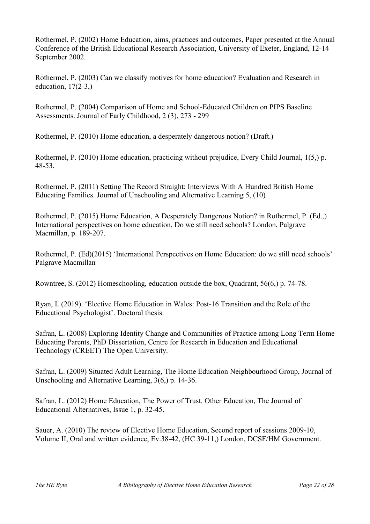Rothermel, P. (2002) Home Education, aims, practices and outcomes, Paper presented at the Annual Conference of the British Educational Research Association, University of Exeter, England, 12-14 September 2002.

Rothermel, P. (2003) Can we classify motives for home education? Evaluation and Research in education,  $17(2-3)$ 

Rothermel, P. (2004) Comparison of Home and School-Educated Children on PIPS Baseline Assessments. Journal of Early Childhood, 2 (3), 273 - 299

Rothermel, P. (2010) Home education, a desperately dangerous notion? (Draft.)

Rothermel, P. (2010) Home education, practicing without prejudice, Every Child Journal, 1(5,) p. 48-53.

Rothermel, P. (2011) Setting The Record Straight: Interviews With A Hundred British Home Educating Families. Journal of Unschooling and Alternative Learning 5, (10)

Rothermel, P. (2015) Home Education, A Desperately Dangerous Notion? in Rothermel, P. (Ed.,) International perspectives on home education, Do we still need schools? London, Palgrave Macmillan, p. 189-207.

Rothermel, P. (Ed)(2015) 'International Perspectives on Home Education: do we still need schools' Palgrave Macmillan

Rowntree, S. (2012) Homeschooling, education outside the box, Quadrant, 56(6,) p. 74-78.

Ryan, L (2019). 'Elective Home Education in Wales: Post-16 Transition and the Role of the Educational Psychologist'. Doctoral thesis.

Safran, L. (2008) Exploring Identity Change and Communities of Practice among Long Term Home Educating Parents, PhD Dissertation, Centre for Research in Education and Educational Technology (CREET) The Open University.

Safran, L. (2009) Situated Adult Learning, The Home Education Neighbourhood Group, Journal of Unschooling and Alternative Learning, 3(6,) p. 14-36.

Safran, L. (2012) Home Education, The Power of Trust. Other Education, The Journal of Educational Alternatives, Issue 1, p. 32-45.

Sauer, A. (2010) The review of Elective Home Education, Second report of sessions 2009-10, Volume II, Oral and written evidence, Ev.38-42, (HC 39-11,) London, DCSF/HM Government.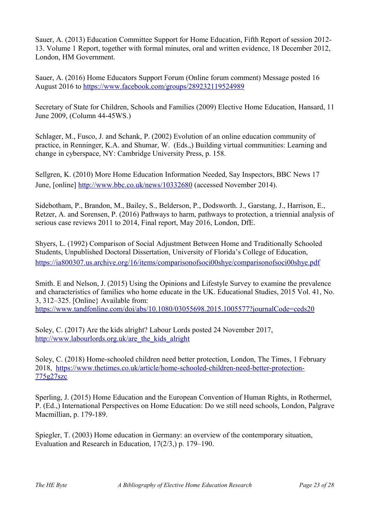Sauer, A. (2013) Education Committee Support for Home Education, Fifth Report of session 2012- 13. Volume 1 Report, together with formal minutes, oral and written evidence, 18 December 2012, London, HM Government.

Sauer, A. (2016) Home Educators Support Forum (Online forum comment) Message posted 16 August 2016 to<https://www.facebook.com/groups/289232119524989>

Secretary of State for Children, Schools and Families (2009) Elective Home Education, Hansard, 11 June 2009, (Column 44-45WS.)

Schlager, M., Fusco, J. and Schank, P. (2002) Evolution of an online education community of practice, in Renninger, K.A. and Shumar, W. (Eds.,) Building virtual communities: Learning and change in cyberspace, NY: Cambridge University Press, p. 158.

Sellgren, K. (2010) More Home Education Information Needed, Say Inspectors, BBC News 17 June, [online]<http://www.bbc.co.uk/news/10332680>(accessed November 2014).

Sidebotham, P., Brandon, M., Bailey, S., Belderson, P., Dodsworth. J., Garstang, J., Harrison, E., Retzer, A. and Sorensen, P. (2016) Pathways to harm, pathways to protection, a triennial analysis of serious case reviews 2011 to 2014, Final report, May 2016, London, DfE.

Shyers, L. (1992) Comparison of Social Adjustment Between Home and Traditionally Schooled Students, Unpublished Doctoral Dissertation, University of Florida's College of Education, <https://ia800307.us.archive.org/16/items/comparisonofsoci00shye/comparisonofsoci00shye.pdf>

Smith. E and Nelson, J. (2015) Using the Opinions and Lifestyle Survey to examine the prevalence and characteristics of families who home educate in the UK. Educational Studies, 2015 Vol. 41, No. 3, 312–325. [Online} Available from: <https://www.tandfonline.com/doi/abs/10.1080/03055698.2015.1005577?journalCode=ceds20>

Soley, C. (2017) Are the kids alright? Labour Lords posted 24 November 2017, [http://www.labourlords.org.uk/are\\_the\\_kids\\_alright](http://www.labourlords.org.uk/are_the_kids_alright)

Soley, C. (2018) Home-schooled children need better protection, London, The Times, 1 February 2018, [https://www.thetimes.co.uk/article/home-schooled-children-need-better-protection-](https://www.thetimes.co.uk/article/home-schooled-children-need-better-protection-775g27szc)[775g27szc](https://www.thetimes.co.uk/article/home-schooled-children-need-better-protection-775g27szc)

Sperling, J. (2015) Home Education and the European Convention of Human Rights, in Rothermel, P. (Ed.,) International Perspectives on Home Education: Do we still need schools, London, Palgrave Macmillian, p. 179-189.

Spiegler, T. (2003) Home education in Germany: an overview of the contemporary situation, Evaluation and Research in Education, 17(2/3,) p. 179–190.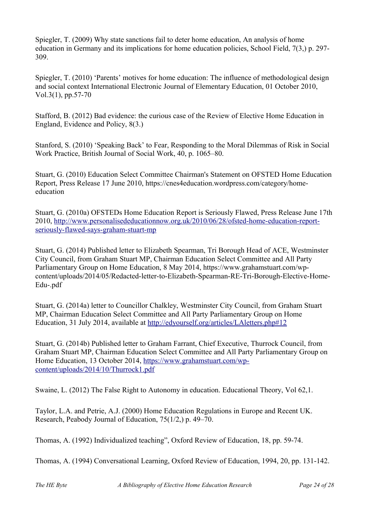Spiegler, T. (2009) Why state sanctions fail to deter home education, An analysis of home education in Germany and its implications for home education policies, School Field, 7(3,) p. 297- 309.

Spiegler, T. (2010) 'Parents' motives for home education: The influence of methodological design and social context International Electronic Journal of Elementary Education, 01 October 2010, Vol.3(1), pp.57-70

Stafford, B. (2012) Bad evidence: the curious case of the Review of Elective Home Education in England, Evidence and Policy, 8(3.)

Stanford, S. (2010) 'Speaking Back' to Fear, Responding to the Moral Dilemmas of Risk in Social Work Practice, British Journal of Social Work, 40, p. 1065–80.

Stuart, G. (2010) Education Select Committee Chairman's Statement on OFSTED Home Education Report, Press Release 17 June 2010, https://cnes4education.wordpress.com/category/homeeducation

Stuart, G. (2010a) OFSTEDs Home Education Report is Seriously Flawed, Press Release June 17th 2010, [http://www.personalisededucationnow.org.uk/2010/06/28/ofsted-home-education-report](http://www.personalisededucationnow.org.uk/2010/06/28/ofsted-home-education-report-seriously-flawed-says-graham-stuart-mp)[seriously-flawed-says-graham-stuart-mp](http://www.personalisededucationnow.org.uk/2010/06/28/ofsted-home-education-report-seriously-flawed-says-graham-stuart-mp)

Stuart, G. (2014) Published letter to Elizabeth Spearman, Tri Borough Head of ACE, Westminster City Council, from Graham Stuart MP, Chairman Education Select Committee and All Party Parliamentary Group on Home Education, 8 May 2014, https://www.grahamstuart.com/wpcontent/uploads/2014/05/Redacted-letter-to-Elizabeth-Spearman-RE-Tri-Borough-Elective-Home-Edu-.pdf

Stuart, G. (2014a) letter to Councillor Chalkley, Westminster City Council, from Graham Stuart MP, Chairman Education Select Committee and All Party Parliamentary Group on Home Education, 31 July 2014, available at<http://edyourself.org/articles/LAletters.php#12>

Stuart, G. (2014b) Published letter to Graham Farrant, Chief Executive, Thurrock Council, from Graham Stuart MP, Chairman Education Select Committee and All Party Parliamentary Group on Home Education, 13 October 2014, [https://www.grahamstuart.com/wp](https://www.grahamstuart.com/wp-content/uploads/2014/10/Thurrock1.pdf)[content/uploads/2014/10/Thurrock1.pdf](https://www.grahamstuart.com/wp-content/uploads/2014/10/Thurrock1.pdf)

Swaine, L. (2012) The False Right to Autonomy in education. Educational Theory, Vol 62,1.

Taylor, L.A. and Petrie, A.J. (2000) Home Education Regulations in Europe and Recent UK. Research, Peabody Journal of Education, 75(1/2,) p. 49–70.

Thomas, A. (1992) Individualized teaching", Oxford Review of Education, 18, pp. 59-74.

Thomas, A. (1994) Conversational Learning, Oxford Review of Education, 1994, 20, pp. 131-142.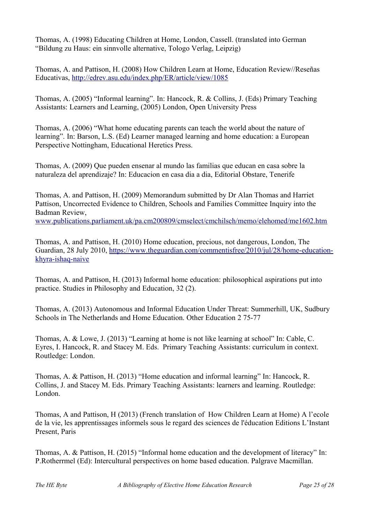Thomas, A. (1998) Educating Children at Home, London, Cassell. (translated into German "Bildung zu Haus: ein sinnvolle alternative, Tologo Verlag, Leipzig)

Thomas, A. and Pattison, H. (2008) How Children Learn at Home, Education Review//Reseñas Educativas,<http://edrev.asu.edu/index.php/ER/article/view/1085>

Thomas, A. (2005) "Informal learning". In: Hancock, R. & Collins, J. (Eds) Primary Teaching Assistants: Learners and Learning, (2005) London, Open University Press

Thomas, A. (2006) "What home educating parents can teach the world about the nature of learning". In: Barson, L.S. (Ed) Learner managed learning and home education: a European Perspective Nottingham, Educational Heretics Press.

Thomas, A. (2009) Que pueden ensenar al mundo las familias que educan en casa sobre la naturaleza del aprendizaje? In: Educacion en casa dia a dia, Editorial Obstare, Tenerife

Thomas, A. and Pattison, H. (2009) Memorandum submitted by Dr Alan Thomas and Harriet Pattison, Uncorrected Evidence to Children, Schools and Families Committee Inquiry into the Badman Review,

[www.publications.parliament.uk/pa.cm200809/cmselect/cmchilsch/memo/elehomed/me1602.htm](http://www.publications.parliament.uk/pa.cm200809/cmselect/cmchilsch/memo/elehomed/me1602.htm)

Thomas, A. and Pattison, H. (2010) Home education, precious, not dangerous, London, The Guardian, 28 July 2010, [https://www.theguardian.com/commentisfree/2010/jul/28/home-education](https://www.theguardian.com/commentisfree/2010/jul/28/home-education-khyra-ishaq-naive)[khyra-ishaq-naive](https://www.theguardian.com/commentisfree/2010/jul/28/home-education-khyra-ishaq-naive)

Thomas, A. and Pattison, H. (2013) Informal home education: philosophical aspirations put into practice. Studies in Philosophy and Education, 32 (2).

Thomas, A. (2013) Autonomous and Informal Education Under Threat: Summerhill, UK, Sudbury Schools in The Netherlands and Home Education. Other Education 2 75-77

Thomas, A. & Lowe, J. (2013) "Learning at home is not like learning at school" In: Cable, C. Eyres, I. Hancock, R. and Stacey M. Eds. Primary Teaching Assistants: curriculum in context. Routledge: London.

Thomas, A. & Pattison, H. (2013) "Home education and informal learning" In: Hancock, R. Collins, J. and Stacey M. Eds. Primary Teaching Assistants: learners and learning. Routledge: London.

Thomas, A and Pattison, H (2013) (French translation of How Children Learn at Home) A l'ecole de la vie, les apprentissages informels sous le regard des sciences de l'éducation Editions L'Instant Present, Paris

Thomas, A. & Pattison, H. (2015) "Informal home education and the development of literacy" In: P.Rotherrmel (Ed): Intercultural perspectives on home based education. Palgrave Macmillan.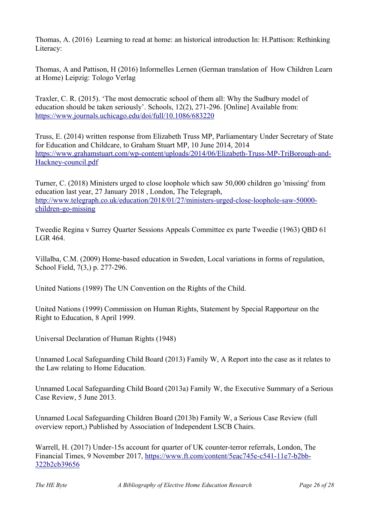Thomas, A. (2016) Learning to read at home: an historical introduction In: H.Pattison: Rethinking Literacy:

Thomas, A and Pattison, H (2016) Informelles Lernen (German translation of How Children Learn at Home) Leipzig: Tologo Verlag

Traxler, C. R. (2015). 'The most democratic school of them all: Why the Sudbury model of education should be taken seriously'. Schools, 12(2), 271-296. [Online] Available from: <https://www.journals.uchicago.edu/doi/full/10.1086/683220>

Truss, E. (2014) written response from Elizabeth Truss MP, Parliamentary Under Secretary of State for Education and Childcare, to Graham Stuart MP, 10 June 2014, 2014 [https://www.grahamstuart.com/wp-content/uploads/2014/06/Elizabeth-Truss-MP-TriBorough-and-](https://www.grahamstuart.com/wp-content/uploads/2014/06/Elizabeth-Truss-MP-TriBorough-and-Hackney-council.pdf)[Hackney-council.pdf](https://www.grahamstuart.com/wp-content/uploads/2014/06/Elizabeth-Truss-MP-TriBorough-and-Hackney-council.pdf)

Turner, C. (2018) Ministers urged to close loophole which saw 50,000 children go 'missing' from education last year, 27 January 2018 , London, The Telegraph, [http://www.telegraph.co.uk/education/2018/01/27/ministers-urged-close-loophole-saw-50000](http://www.telegraph.co.uk/education/2018/01/27/ministers-urged-close-loophole-saw-50000-children-go-missing) [children-go-missing](http://www.telegraph.co.uk/education/2018/01/27/ministers-urged-close-loophole-saw-50000-children-go-missing)

Tweedie Regina v Surrey Quarter Sessions Appeals Committee ex parte Tweedie (1963) QBD 61 LGR 464.

Villalba, C.M. (2009) Home-based education in Sweden, Local variations in forms of regulation, School Field, 7(3,) p. 277-296.

United Nations (1989) The UN Convention on the Rights of the Child.

United Nations (1999) Commission on Human Rights, Statement by Special Rapporteur on the Right to Education, 8 April 1999.

Universal Declaration of Human Rights (1948)

Unnamed Local Safeguarding Child Board (2013) Family W, A Report into the case as it relates to the Law relating to Home Education.

Unnamed Local Safeguarding Child Board (2013a) Family W, the Executive Summary of a Serious Case Review, 5 June 2013.

Unnamed Local Safeguarding Children Board (2013b) Family W, a Serious Case Review (full overview report,) Published by Association of Independent LSCB Chairs.

Warrell, H. (2017) Under-15s account for quarter of UK counter-terror referrals, London, The Financial Times, 9 November 2017, [https://www.ft.com/content/5eac745e-c541-11e7-b2bb-](https://www.ft.com/content/5eac745e-c541-11e7-b2bb-322b2cb39656)[322b2cb39656](https://www.ft.com/content/5eac745e-c541-11e7-b2bb-322b2cb39656)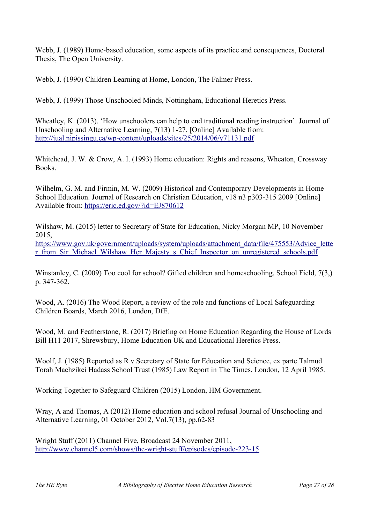Webb, J. (1989) Home-based education, some aspects of its practice and consequences, Doctoral Thesis, The Open University.

Webb, J. (1990) Children Learning at Home, London, The Falmer Press.

Webb, J. (1999) Those Unschooled Minds, Nottingham, Educational Heretics Press.

Wheatley, K. (2013). 'How unschoolers can help to end traditional reading instruction'. Journal of Unschooling and Alternative Learning, 7(13) 1-27. [Online] Available from: <http://jual.nipissingu.ca/wp-content/uploads/sites/25/2014/06/v71131.pdf>

Whitehead, J. W. & Crow, A. I. (1993) Home education: Rights and reasons, Wheaton, Crossway Books.

Wilhelm, G. M. and Firmin, M. W. (2009) Historical and Contemporary Developments in Home School Education. Journal of Research on Christian Education, v18 n3 p303-315 2009 [Online] Available from:<https://eric.ed.gov/?id=EJ870612>

Wilshaw, M. (2015) letter to Secretary of State for Education, Nicky Morgan MP, 10 November 2015,

[https://www.gov.uk/government/uploads/system/uploads/attachment\\_data/file/475553/Advice\\_lette](https://www.gov.uk/government/uploads/system/uploads/attachment_data/file/475553/Advice_letter_from_Sir_Michael_Wilshaw_Her_Majesty_s_Chief_Inspector_on_unregistered_schools.pdf) [r\\_from\\_Sir\\_Michael\\_Wilshaw\\_Her\\_Majesty\\_s\\_Chief\\_Inspector\\_on\\_unregistered\\_schools.pdf](https://www.gov.uk/government/uploads/system/uploads/attachment_data/file/475553/Advice_letter_from_Sir_Michael_Wilshaw_Her_Majesty_s_Chief_Inspector_on_unregistered_schools.pdf)

Winstanley, C. (2009) Too cool for school? Gifted children and homeschooling, School Field, 7(3,) p. 347-362.

Wood, A. (2016) The Wood Report, a review of the role and functions of Local Safeguarding Children Boards, March 2016, London, DfE.

Wood, M. and Featherstone, R. (2017) Briefing on Home Education Regarding the House of Lords Bill H11 2017, Shrewsbury, Home Education UK and Educational Heretics Press.

Woolf, J. (1985) Reported as R v Secretary of State for Education and Science, ex parte Talmud Torah Machzikei Hadass School Trust (1985) Law Report in The Times, London, 12 April 1985.

Working Together to Safeguard Children (2015) London, HM Government.

Wray, A and Thomas, A (2012) Home education and school refusal Journal of Unschooling and Alternative Learning, 01 October 2012, Vol.7(13), pp.62-83

Wright Stuff (2011) Channel Five, Broadcast 24 November 2011, <http://www.channel5.com/shows/the-wright-stuff/episodes/episode-223-15>